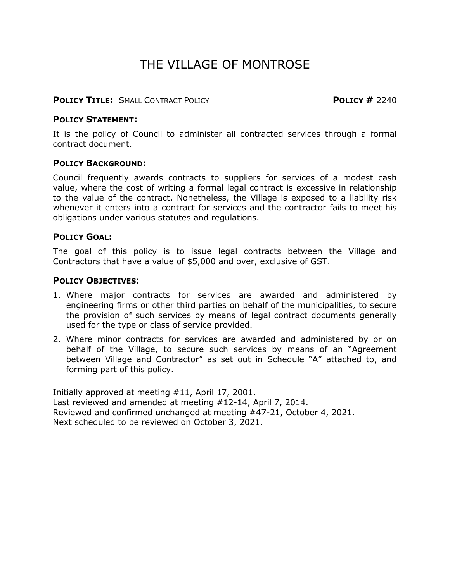## THE VILLAGE OF MONTROSE

#### **POLICY TITLE:** SMALL CONTRACT POLICY **POLICY #** 2240

#### **POLICY STATEMENT:**

It is the policy of Council to administer all contracted services through a formal contract document.

#### **POLICY BACKGROUND:**

Council frequently awards contracts to suppliers for services of a modest cash value, where the cost of writing a formal legal contract is excessive in relationship to the value of the contract. Nonetheless, the Village is exposed to a liability risk whenever it enters into a contract for services and the contractor fails to meet his obligations under various statutes and regulations.

#### **POLICY GOAL:**

The goal of this policy is to issue legal contracts between the Village and Contractors that have a value of \$5,000 and over, exclusive of GST.

#### **POLICY OBJECTIVES:**

- 1. Where major contracts for services are awarded and administered by engineering firms or other third parties on behalf of the municipalities, to secure the provision of such services by means of legal contract documents generally used for the type or class of service provided.
- 2. Where minor contracts for services are awarded and administered by or on behalf of the Village, to secure such services by means of an "Agreement between Village and Contractor" as set out in Schedule "A" attached to, and forming part of this policy.

Initially approved at meeting #11, April 17, 2001. Last reviewed and amended at meeting #12-14, April 7, 2014. Reviewed and confirmed unchanged at meeting #47-21, October 4, 2021. Next scheduled to be reviewed on October 3, 2021.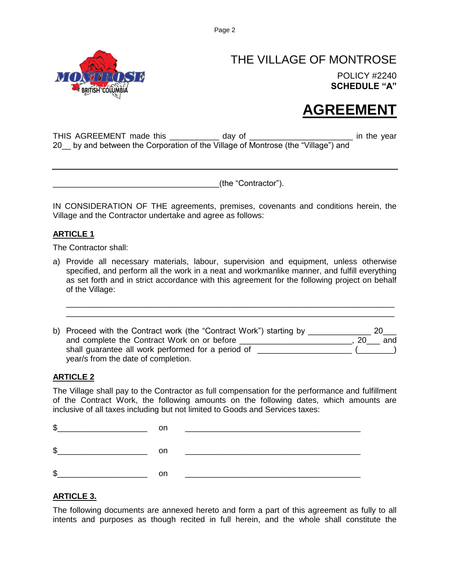

### THE VILLAGE OF MONTROSE POLICY #2240 **SCHEDULE "A"**

# **AGREEMENT**

THIS AGREEMENT made this \_\_\_\_\_\_\_\_\_\_\_ day of \_\_\_\_\_\_\_\_\_\_\_\_\_\_\_\_\_\_\_\_\_\_\_\_\_\_\_\_\_ in the year 20 by and between the Corporation of the Village of Montrose (the "Village") and

\_\_\_\_\_\_\_\_\_\_\_\_\_\_\_\_\_\_\_\_\_\_\_\_\_\_\_\_\_\_\_\_\_\_\_\_\_(the "Contractor").

IN CONSIDERATION OF THE agreements, premises, covenants and conditions herein, the Village and the Contractor undertake and agree as follows:

#### **ARTICLE 1**

The Contractor shall:

a) Provide all necessary materials, labour, supervision and equipment, unless otherwise specified, and perform all the work in a neat and workmanlike manner, and fulfill everything as set forth and in strict accordance with this agreement for the following project on behalf of the Village:

\_\_\_\_\_\_\_\_\_\_\_\_\_\_\_\_\_\_\_\_\_\_\_\_\_\_\_\_\_\_\_\_\_\_\_\_\_\_\_\_\_\_\_\_\_\_\_\_\_\_\_\_\_\_\_\_\_\_\_\_\_\_\_\_\_\_\_\_\_\_\_\_\_ \_\_\_\_\_\_\_\_\_\_\_\_\_\_\_\_\_\_\_\_\_\_\_\_\_\_\_\_\_\_\_\_\_\_\_\_\_\_\_\_\_\_\_\_\_\_\_\_\_\_\_\_\_\_\_\_\_\_\_\_\_\_\_\_\_\_\_\_\_\_\_\_\_

b) Proceed with the Contract work (the "Contract Work") starting by and complete the Contract Work on or before \_\_\_\_\_\_\_\_\_\_\_\_\_\_\_\_\_\_\_\_\_\_\_\_\_\_\_, 20\_\_\_ and shall guarantee all work performed for a period of \_\_\_\_\_\_\_\_\_\_\_\_\_\_\_\_\_\_\_\_\_\_\_\_(\_\_\_\_\_\_\_) year/s from the date of completion.

#### **ARTICLE 2**

The Village shall pay to the Contractor as full compensation for the performance and fulfillment of the Contract Work, the following amounts on the following dates, which amounts are inclusive of all taxes including but not limited to Goods and Services taxes:

| \$ |    |  |
|----|----|--|
| \$ | nn |  |
| S  |    |  |

#### **ARTICLE 3.**

The following documents are annexed hereto and form a part of this agreement as fully to all intents and purposes as though recited in full herein, and the whole shall constitute the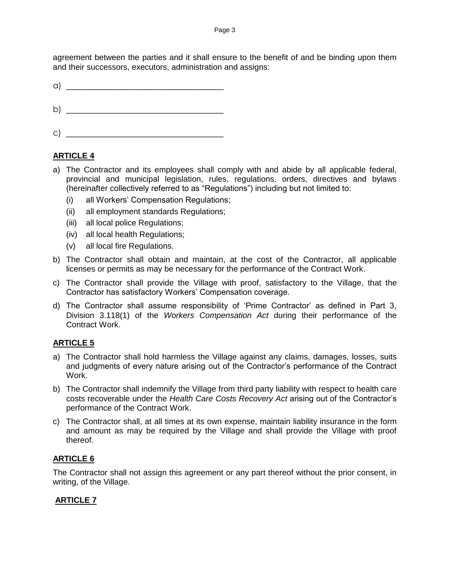agreement between the parties and it shall ensure to the benefit of and be binding upon them and their successors, executors, administration and assigns:

 $\alpha$ )

b)  $\Box$ 

c)  $\Box$ 

#### **ARTICLE 4**

- a) The Contractor and its employees shall comply with and abide by all applicable federal, provincial and municipal legislation, rules, regulations, orders, directives and bylaws (hereinafter collectively referred to as "Regulations") including but not limited to:
	- (i) all Workers' Compensation Regulations;
	- (ii) all employment standards Regulations;
	- (iii) all local police Regulations;
	- (iv) all local health Regulations;
	- (v) all local fire Regulations.
- b) The Contractor shall obtain and maintain, at the cost of the Contractor, all applicable licenses or permits as may be necessary for the performance of the Contract Work.
- c) The Contractor shall provide the Village with proof, satisfactory to the Village, that the Contractor has satisfactory Workers' Compensation coverage.
- d) The Contractor shall assume responsibility of 'Prime Contractor' as defined in Part 3, Division 3.118(1) of the *Workers Compensation Act* during their performance of the Contract Work.

#### **ARTICLE 5**

- a) The Contractor shall hold harmless the Village against any claims, damages, losses, suits and judgments of every nature arising out of the Contractor's performance of the Contract Work.
- b) The Contractor shall indemnify the Village from third party liability with respect to health care costs recoverable under the *Health Care Costs Recovery Act* arising out of the Contractor's performance of the Contract Work.
- c) The Contractor shall, at all times at its own expense, maintain liability insurance in the form and amount as may be required by the Village and shall provide the Village with proof thereof.

#### **ARTICLE 6**

The Contractor shall not assign this agreement or any part thereof without the prior consent, in writing, of the Village.

#### **ARTICLE 7**